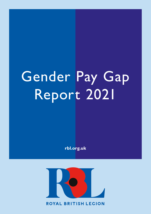# Gender Pay Gap Report 2021

**rbl.org.uk**

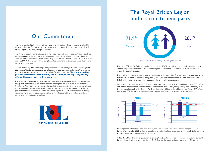## The Royal British Legion and its constituent parts

We are committed to becoming a truly inclusive organisation, where everyone is valued for their contribution. This is consistent with our core values and desire to promote the Royal British Legion (RBL) as a great place to work.

We strive to become a more inclusive and diverse organisation, not least so that we can best serve the needs of the entire Armed Forces community we are here to support. In recent years we have increased our focus on diversity and inclusion across RBL and are set to publish our first D&I Action plan, outlining our planned commitments to become a more diverse and inclusion organisation.

Gender Pay Gap (GPG) reporting is a legal requirement for all organisations employing over 250 people. Gender pay reporting identifies any gap between men and women's average pay and enables organisations to outline their plans for addressing this. **RBL embraces this as part of our commitment to diversity and inclusion, and to improving our pay offer and transparency over how pay is set.** 

The existence of a gender pay gap does not represent an issue of equal pay, the requirement to pay men and women (who do the same or similar jobs, or work of equal value) equally. Gender Pay Gaps demonstrate the existence of structural inequity in the average pay of men and women in an organisation usually driven by over- and under-representation of the two groups in different roles and pay levels within the organisation. RBL is committed to its legal responsibility to ensure equal pay, as well as its moral responsibility to reduce structural gender pay gaps within its workforce.





RBL had 1,502 Full Pay Relevant employees on 5th April 2021. Overall, we had a much higher number of women employees than men; 71.9% of all employees were women. This imbalance is not uncommon within the charitable sector.

RBL is a large, complex organisation which delivers a wide range of welfare, care and recovery services to beneficiaries in addition to campaigning, raising funds, leading remembrance and commemoration on behalf of the nation, and supporting a substantial membership organisation.

Our workforce is multi-faceted. We run six registered care homes across England with a total FPR staff of 658 on the snapshot date. We are required to report on RBL as a single legal entity (see Appendix), but it is more useful to analyse the Gender Pay Gaps that exist within our Care Homes workforce - 44% of our employees, 85% female (social care industry average: 82%) – and the rest of the organisation.

Looking separately at these two workforces, our Care Homes have a mean hourly pay gap of -7.2% (in favour of women) for 2021 while the rest of our organisation has a mean hourly pay gap of 12.3% for 2021. A similar pattern can be seen in the Median data.

While the GPG within the organisation (excluding Care) continues to be a focus for our actions, it should be noted that this is below the provisional ONS data for the mean national average of 14.9% for 2021.

Figure 1: All Full Pay Relevant (FRP) employees, April 2021



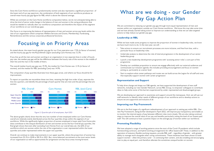### Focusing in on Priority Areas

As stated above, the mean hourly gender pay gap for our Care operation was -7.2% (in favour of women) and the hourly pay gap for the Royal British Legion (excluding Care Homes) was 12.3%.

If you line up all the men and women working in an organisation in two separate lines in order of hourly pay rate, the median pay gap will be the difference between the hourly rate of the woman in the middle of their line and the man in the middle of theirs.

The overall median hourly pay gap was 19.3%, the median for Care Homes was -2.1% (in favour of women), and the median for RBL (excluding Care) was 14.9%.

The composition of pay quartiles illustrates how these gaps arose, and where our focus should be for improvement.

To report on quartiles we recombine these two lines, retaining the high-low order of pay, separate the line into quarters, and identify the percentage of each quarter that are men and the percentage that are women.

The above graphs clearly show that the very low number of men employed within our Care Homes overall are relatively evenly distributed across the four quartiles of pay within this segment of our workforce. While the significantly higher proportion of women employed in lower-paid Care Home jobs does contribute to the inequal distribution of men and women across the four Overall pay quartiles, the final graph shows that even after excluding Care Homes from our overall data set, the 62% of our workforce which are women within the rest of the organisation is over-represented within the lower quartiles and under-represented within the upper two quartiles.

Overall, we continue to make improvements in our upper quartile, where the proportion of women has increased from 55.1% in 2018 to 58.1% in 2021. But, more balanced recruitment at the most senior levels of our organisation as well as opportunities for progression are key focus areas moving forward.

Since the Care Home workforce is predominantly women and also represents a significant proportion of the lower end of our pay spectrum, the combination of both segments of our workforce produces an overall mean hourly pay gap figure for RBL which is above the national average.

While we comment on the Care Home workforce composition below, we do not anticipate being able to drive the kind of sector-wide change in the balance of men and women in the caring professions that would be needed to radically alter our workforce composition and therefore the impact of this segment of our workforce on our overall pay gaps.

Our focus is on improving the balance of representation of men and women across pay levels within the rest of our organisation which comprises Welfare Services and Grants, Membership, Fundraising, Remembrance and the various corporate professional functions.

### What are we doing - our Gender Pay Gap Action Plan

We are committed to reducing our gender pay gap through more equal representation of men and women within our organisation outside our Care Homes workforce. We know this may take some time and we have already started taking action to improve our understanding so that we can take targeted actions to help reduce our gender pay gap.

#### **Leadership at RBL**

While we have made some progress to improve the proportion of women in leadership roles, we know we have much more to do. In the next year, we will: -

- Take actions to ensure our recruitment processes are more inclusive, and free from bias, with a particular focus on leadership roles
- Undertake analysis to determine the role of internal progression in the development of our senior leadership group
- Launch a new leadership development programme with 'accessing senior roles' a core part of the programme
- Develop our candidate proposition to ensure we engage effectively with our external audiences and communicate our inclusion agenda; this includes providing encouragement and focus on women joining us, particularly at a senior level
- Start to explore what career pathways and routes we can build across the Legion for all staff and ones that especially support women with career progression

#### **Representation and Support**

To help drive change and shape our D&I agenda, we have supported the development of new staff networks, including our new Gender Network, across RBL Group, to empower colleagues to contribute ideas to help solve some of the barriers experienced by under-represented and disadvantaged groups.

- 
- We are developing our approach to awareness and support around the menopause. And, we will use our
	-
	-

staff networks to identify other needs of different groups of our workforce and to develop actions to ensure we are supportive and inclusive of all.

### **Improving our Pay Framework**

We are in the final stages of a significant redevelopment of our approach to setting pay within RBL. Our new Pay Framework, being further developed in April 2022, will improve pay transparency and enable us to monitor the internal equity of pay between different roles more closely. We are also taking continual steps to improve the overall value of our pay and benefits particularly raising the level of our lowest-paid staff. This will continue to have a positive impact on the average pay of women within our workforce.

### **Promoting Flexibility**

We have adopted a range of working patterns since the start of the Covid-19 pandemic which include homeworking contracts, and hybrid working arrangements for office-based staff. These, in addition to the operation of statutory flexible working requests, provide RBL staff – regardless of gender - with greater ability to manage work alongside other caring commitments. These initiatives have been shown to both support women – often the primary carer – in continuing their careers, and also enabling and encouraging men to play an equal part, and therefore alleviate the sometimes unequal burden on women.



Figure 2: Quartile split of all employees, April 2021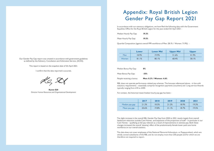### Appendix: Royal British Legion Gender Pay Gap Report 2021

In accordance with our statutory obligations, we have filed the following data with the Government Equalities Office for the Royal British Legion for the year ended 5th April 2021: -

| Median Hourly Pay Gap: | 19.3% |  |
|------------------------|-------|--|
|                        |       |  |

Mean Hourly Pay Gap: **19.5%**

Quartile Composition (against overall FPR workforce of Men: 28.1% / Women: 71.9%): -

|       | Lower | <b>Lower Mid</b> | <b>Upper Mid</b> | <b>Upper</b> |
|-------|-------|------------------|------------------|--------------|
| Men   | 18.9% | 19.9%            | 31.6%            | 41.9%        |
| Women | .1%   | 80.1%            | 68.4%            | 58.1%        |

| People receiving a bonus | <b>Men: 8.3% / Womer</b> |
|--------------------------|--------------------------|
| Mean Bonus Pay Gap:      | $-35%$                   |
| Median Bonus Pay Gap:    | $0\%$                    |

#### People receiving a bonus **Men: 8.3% / Women: 4.6%**

RBL does not operate performance-related pay schemes. The bonuses referenced above – in line with statutory requirements – essentially comprise recognition payments (vouchers) and Long-service Awards typically ranging from £10 to £200.

For context, the historical mean/median hourly pay gap has been: -

|                | 2017  | 2018  | 2019  | 2020  | 2021  |
|----------------|-------|-------|-------|-------|-------|
| Median pay gap | 21.3% | 18.5% | 21.2% | 18.9% | 19.3% |
| Mean pay gap   | 20.6% | 19.8% | 21.1% | 18.7% | 19.5% |

The slight increase in the overall RBL Gender Pay Gap from 2020 to 2021 results largely from overall headcount reduction outside Care Homes, and expansion of the proportion of staff – in particular in our Care Homes – qualifying as full-pay-relevant as a result of improvements in sickness pay. Both these changes increased the overall 'skewing' effect of the predominantly female lower-paid care home workforce on our overall statistics.

This data does not cover employees of the National Memorial Arboretum, or Poppyscotland, which are wholly owned subsidiaries of the RBL and do not employ more than 250 people and for which we are therefore not required to report.

**Karen Gill** Director Human Resources and Organisational Development

Our Gender Pay Gap report was created in accordance with government guidelines as defined by the Advisory, Conciliation and Arbitration Service, (ACAS).

This report is based on the snapshot date of 5th April 2021.

I confirm that the data reported is accurate.